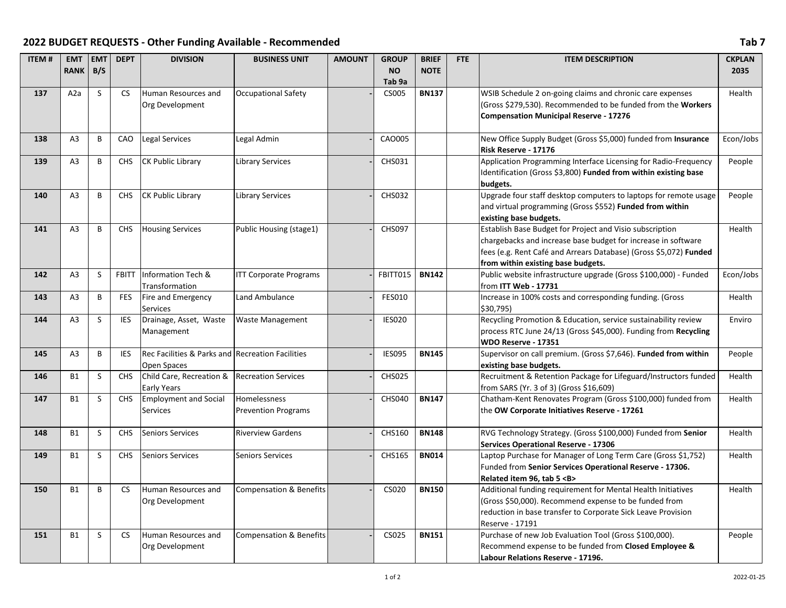## **2022 BUDGET REQUESTS - Other Funding Available - Recommended Tab 7**

| <b>ITEM#</b> | <b>EMT</b><br><b>RANK</b> | <b>EMT</b><br>B/S | <b>DEPT</b>  | <b>DIVISION</b>                                                 | <b>BUSINESS UNIT</b>                              | <b>AMOUNT</b> | <b>GROUP</b><br><b>NO</b><br>Tab 9a | <b>BRIEF</b><br><b>NOTE</b> | FTE | <b>ITEM DESCRIPTION</b>                                                                                                                                                                                                              | <b>CKPLAN</b><br>2035 |
|--------------|---------------------------|-------------------|--------------|-----------------------------------------------------------------|---------------------------------------------------|---------------|-------------------------------------|-----------------------------|-----|--------------------------------------------------------------------------------------------------------------------------------------------------------------------------------------------------------------------------------------|-----------------------|
| 137          | A2a                       | S                 | <b>CS</b>    | Human Resources and<br>Org Development                          | <b>Occupational Safety</b>                        |               | <b>CS005</b>                        | <b>BN137</b>                |     | WSIB Schedule 2 on-going claims and chronic care expenses<br>(Gross \$279,530). Recommended to be funded from the Workers<br><b>Compensation Municipal Reserve - 17276</b>                                                           | Health                |
| 138          | A3                        | В                 | CAO          | Legal Services                                                  | Legal Admin                                       |               | CA0005                              |                             |     | New Office Supply Budget (Gross \$5,000) funded from Insurance<br>Risk Reserve - 17176                                                                                                                                               | Econ/Jobs             |
| 139          | A <sub>3</sub>            | B                 | <b>CHS</b>   | <b>CK Public Library</b>                                        | <b>Library Services</b>                           |               | CHS031                              |                             |     | Application Programming Interface Licensing for Radio-Frequency<br>Identification (Gross \$3,800) Funded from within existing base<br>budgets.                                                                                       | People                |
| 140          | A <sub>3</sub>            | B                 | <b>CHS</b>   | <b>CK Public Library</b>                                        | <b>Library Services</b>                           |               | <b>CHS032</b>                       |                             |     | Upgrade four staff desktop computers to laptops for remote usage<br>and virtual programming (Gross \$552) Funded from within<br>existing base budgets.                                                                               | People                |
| 141          | A <sub>3</sub>            | B                 | <b>CHS</b>   | <b>Housing Services</b>                                         | Public Housing (stage1)                           |               | <b>CHS097</b>                       |                             |     | Establish Base Budget for Project and Visio subscription<br>chargebacks and increase base budget for increase in software<br>fees (e.g. Rent Café and Arrears Database) (Gross \$5,072) Funded<br>from within existing base budgets. | Health                |
| 142          | A <sub>3</sub>            | S                 | <b>FBITT</b> | Information Tech &<br>Transformation                            | <b>ITT Corporate Programs</b>                     |               | FBITT015                            | <b>BN142</b>                |     | Public website infrastructure upgrade (Gross \$100,000) - Funded<br>from ITT Web - 17731                                                                                                                                             | Econ/Jobs             |
| 143          | A <sub>3</sub>            | B                 | <b>FES</b>   | Fire and Emergency<br><b>Services</b>                           | <b>Land Ambulance</b>                             |               | FES010                              |                             |     | Increase in 100% costs and corresponding funding. (Gross<br>\$30,795)                                                                                                                                                                | Health                |
| 144          | A <sub>3</sub>            | $\sf S$           | IES          | Drainage, Asset, Waste<br>Management                            | <b>Waste Management</b>                           |               | <b>IES020</b>                       |                             |     | Recycling Promotion & Education, service sustainability review<br>process RTC June 24/13 (Gross \$45,000). Funding from Recycling<br><b>WDO Reserve - 17351</b>                                                                      | Enviro                |
| 145          | A <sub>3</sub>            | B                 | IES          | Rec Facilities & Parks and Recreation Facilities<br>Open Spaces |                                                   |               | <b>IES095</b>                       | <b>BN145</b>                |     | Supervisor on call premium. (Gross \$7,646). Funded from within<br>existing base budgets.                                                                                                                                            | People                |
| 146          | <b>B1</b>                 | S                 | <b>CHS</b>   | Child Care, Recreation &<br>Early Years                         | <b>Recreation Services</b>                        |               | <b>CHS025</b>                       |                             |     | Recruitment & Retention Package for Lifeguard/Instructors funded<br>from SARS (Yr. 3 of 3) (Gross \$16,609)                                                                                                                          | Health                |
| 147          | <b>B1</b>                 | S                 | <b>CHS</b>   | <b>Employment and Social</b><br><b>Services</b>                 | <b>Homelessness</b><br><b>Prevention Programs</b> |               | <b>CHS040</b>                       | <b>BN147</b>                |     | Chatham-Kent Renovates Program (Gross \$100,000) funded from<br>the OW Corporate Initiatives Reserve - 17261                                                                                                                         | Health                |
| 148          | <b>B1</b>                 | S                 | <b>CHS</b>   | <b>Seniors Services</b>                                         | <b>Riverview Gardens</b>                          |               | CHS160                              | <b>BN148</b>                |     | RVG Technology Strategy. (Gross \$100,000) Funded from Senior<br><b>Services Operational Reserve - 17306</b>                                                                                                                         | Health                |
| 149          | <b>B1</b>                 | S                 | <b>CHS</b>   | <b>Seniors Services</b>                                         | <b>Seniors Services</b>                           |               | <b>CHS165</b>                       | <b>BN014</b>                |     | Laptop Purchase for Manager of Long Term Care (Gross \$1,752)<br>Funded from Senior Services Operational Reserve - 17306.<br>Related item 96, tab 5 <b></b>                                                                          | Health                |
| 150          | <b>B1</b>                 | B                 | CS.          | Human Resources and<br>Org Development                          | <b>Compensation &amp; Benefits</b>                |               | CS020                               | <b>BN150</b>                |     | Additional funding requirement for Mental Health Initiatives<br>(Gross \$50,000). Recommend expense to be funded from<br>reduction in base transfer to Corporate Sick Leave Provision<br>Reserve - 17191                             | Health                |
| 151          | <b>B1</b>                 | S                 | CS           | Human Resources and<br>Org Development                          | <b>Compensation &amp; Benefits</b>                |               | CS025                               | <b>BN151</b>                |     | Purchase of new Job Evaluation Tool (Gross \$100,000).<br>Recommend expense to be funded from Closed Employee &<br>Labour Relations Reserve - 17196.                                                                                 | People                |